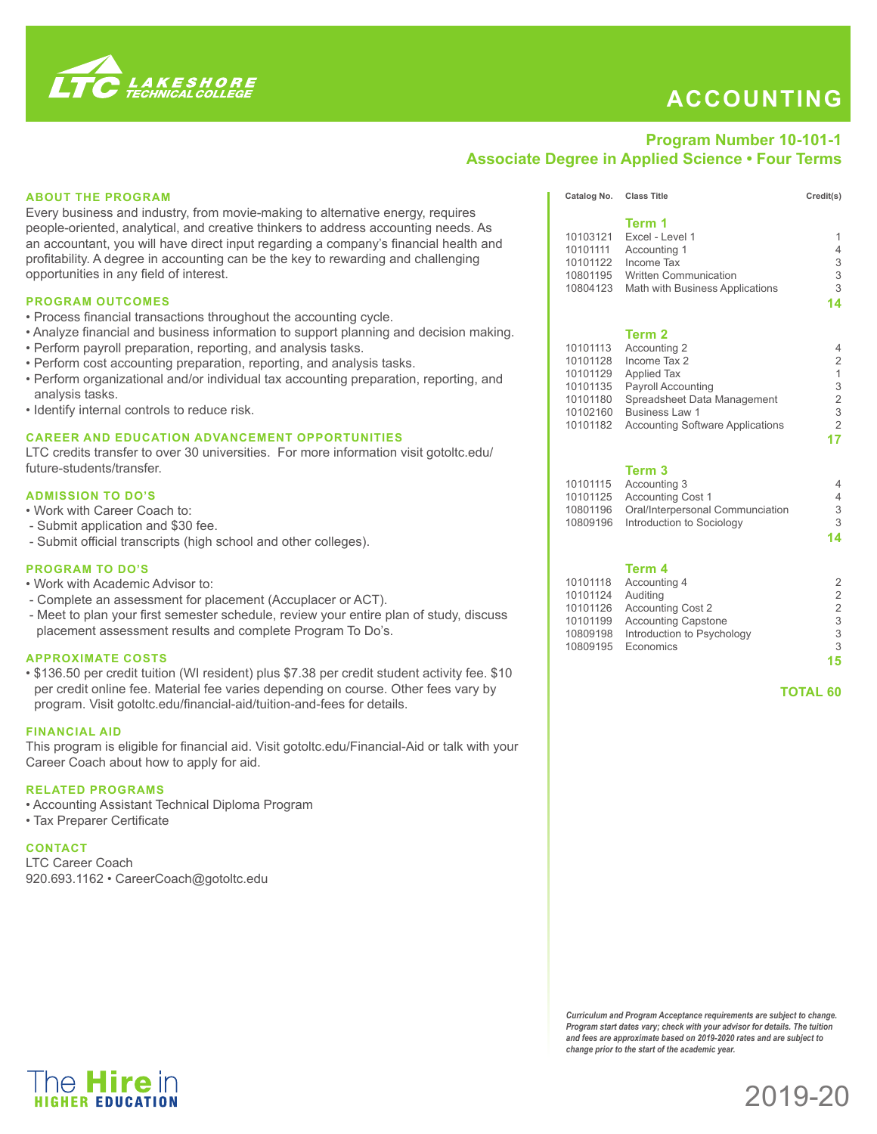

# **ACCOUNTING**

## **Program Number 10-101-1 Associate Degree in Applied Science • Four Terms**

### **ABOUT THE PROGRAM**

Every business and industry, from movie-making to alternative energy, requires people-oriented, analytical, and creative thinkers to address accounting needs. As an accountant, you will have direct input regarding a company's financial health and profitability. A degree in accounting can be the key to rewarding and challenging opportunities in any field of interest.

#### **PROGRAM OUTCOMES**

- Process financial transactions throughout the accounting cycle.
- Analyze financial and business information to support planning and decision making.
- Perform payroll preparation, reporting, and analysis tasks.
- Perform cost accounting preparation, reporting, and analysis tasks.
- Perform organizational and/or individual tax accounting preparation, reporting, and analysis tasks.
- Identify internal controls to reduce risk.

#### **CAREER AND EDUCATION ADVANCEMENT OPPORTUNITIES**

LTC credits transfer to over 30 universities. For more information visit gotoltc.edu/ future-students/transfer.

#### **ADMISSION TO DO'S**

- Work with Career Coach to:
- Submit application and \$30 fee.
- Submit official transcripts (high school and other colleges).

#### **PROGRAM TO DO'S**

- Work with Academic Advisor to:
- Complete an assessment for placement (Accuplacer or ACT).
- Meet to plan your first semester schedule, review your entire plan of study, discuss placement assessment results and complete Program To Do's.

#### **APPROXIMATE COSTS**

• \$136.50 per credit tuition (WI resident) plus \$7.38 per credit student activity fee. \$10 per credit online fee. Material fee varies depending on course. Other fees vary by program. Visit gotoltc.edu/financial-aid/tuition-and-fees for details.

#### **FINANCIAL AID**

This program is eligible for financial aid. Visit gotoltc.edu/Financial-Aid or talk with your Career Coach about how to apply for aid.

#### **RELATED PROGRAMS**

• Accounting Assistant Technical Diploma Program

• Tax Preparer Certificate

**CONTACT**  LTC Career Coach 920.693.1162 • CareerCoach@gotoltc.edu

|          | Term 1                                  |                |
|----------|-----------------------------------------|----------------|
| 10103121 | Excel - Level 1                         | 1              |
| 10101111 | Accounting 1                            | 4              |
| 10101122 | Income Tax                              | 3              |
| 10801195 | <b>Written Communication</b>            | 3              |
| 10804123 | Math with Business Applications         | 3              |
|          |                                         | 14             |
|          | Term 2                                  |                |
| 10101113 | Accounting 2                            | 4              |
| 10101128 | Income Tax 2                            | $\overline{2}$ |
| 10101129 | <b>Applied Tax</b>                      | 1              |
| 10101135 | <b>Payroll Accounting</b>               | 3              |
| 10101180 | Spreadsheet Data Management             | 2              |
| 10102160 | <b>Business Law 1</b>                   | 3              |
| 10101182 | <b>Accounting Software Applications</b> | 2              |
|          |                                         |                |
|          |                                         |                |

Catalog No. Class Title Credit(s)

#### **Term 3**

| 10101115 Accounting 3                     |    |
|-------------------------------------------|----|
| 10101125 Accounting Cost 1                | 4  |
| 10801196 Oral/Interpersonal Communciation | З  |
| 10809196 Introduction to Sociology        | 3  |
|                                           | 14 |

#### **Term 4**

|          | 10101118 Accounting 4               | 2  |
|----------|-------------------------------------|----|
| 10101124 | Auditing                            | 2  |
| 10101126 | <b>Accounting Cost 2</b>            | 2  |
| 10101199 | <b>Accounting Capstone</b>          | 3  |
|          | 10809198 Introduction to Psychology | 3  |
|          | 10809195 Economics                  | 3  |
|          |                                     | 15 |
|          |                                     |    |

 **TOTAL 60**

*Curriculum and Program Acceptance requirements are subject to change. Program start dates vary; check with your advisor for details. The tuition and fees are approximate based on 2019-2020 rates and are subject to change prior to the start of the academic year.*